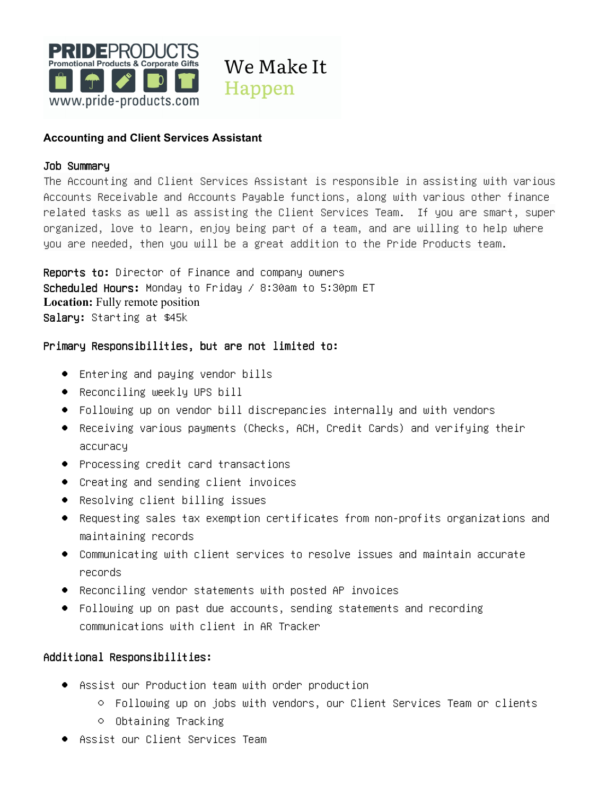

## **Accounting and Client Services Assistant**

#### Job Summary

The Accounting and Client Services Assistant is responsible in assisting with various Accounts Receivable and Accounts Payable functions, along with various other finance related tasks as well as assisting the Client Services Team. If you are smart, super organized, love to learn, enjoy being part of a team, and are willing to help where you are needed, then you will be a great addition to the Pride Products team.

Reports to: Director of Finance and company owners Scheduled Hours: Monday to Friday / 8:30am to 5:30pm ET **Location:** Fully remote position Salary: Starting at \$45k

#### Primary Responsibilities, but are not limited to:

- Entering and paying vendor bills
- Reconciling weekly UPS bill
- Following up on vendor bill discrepancies internally and with vendors
- Receiving various payments (Checks, ACH, Credit Cards) and verifying their accuracy
- Processing credit card transactions
- Creating and sending client invoices
- Resolving client billing issues
- Requesting sales tax exemption certificates from non-profits organizations and maintaining records
- Communicating with client services to resolve issues and maintain accurate records
- Reconciling vendor statements with posted AP invoices
- Following up on past due accounts, sending statements and recording communications with client in AR Tracker

## Additional Responsibilities:

- Assist our Production team with order production
	- Following up on jobs with vendors, our Client Services Team or clients
	- Obtaining Tracking
- Assist our Client Services Team